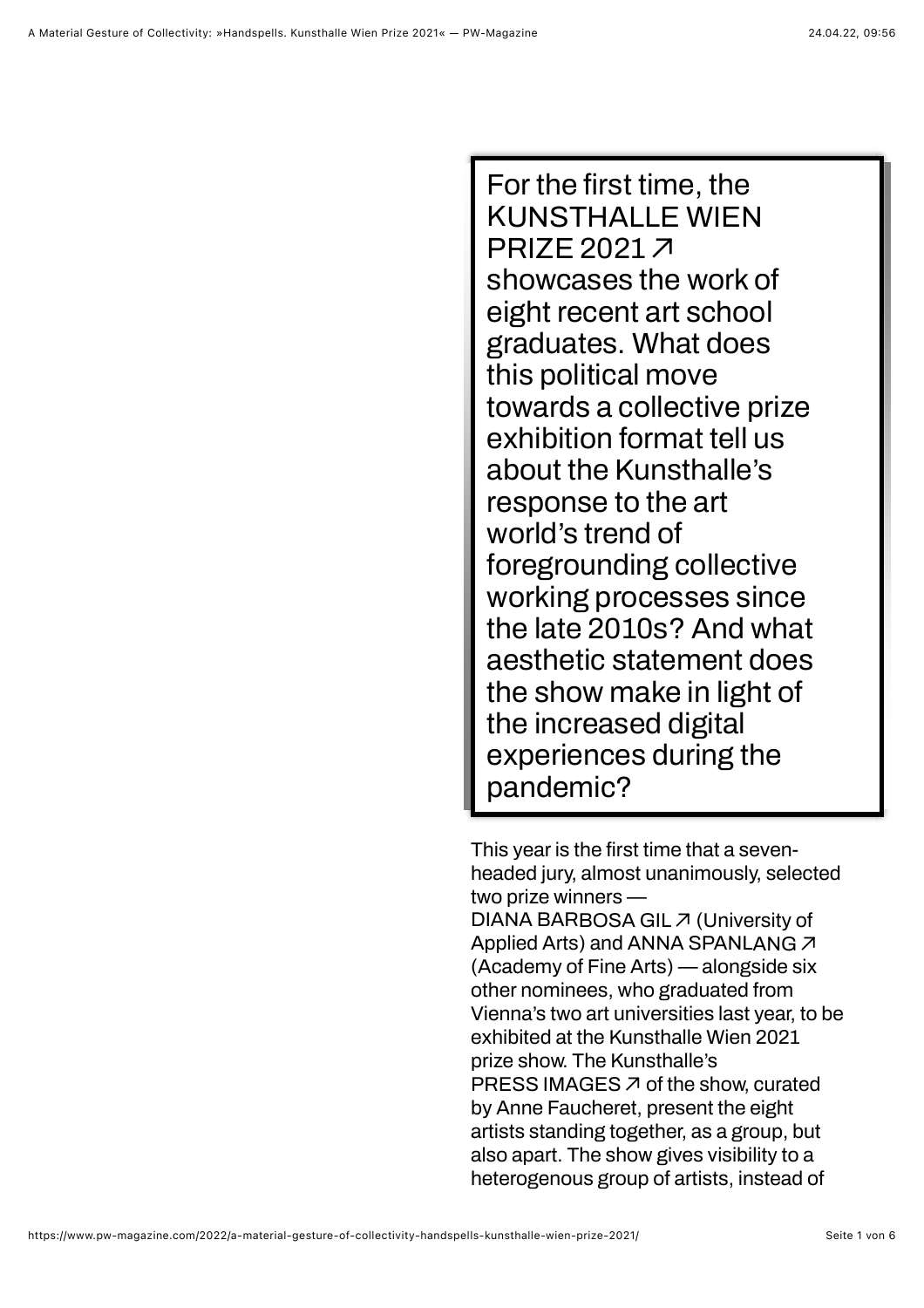For the first time, the **showcases the work of eight recent art school graduates. What does this political move towards a collective prize exhibition format tell us about the Kunsthalle's response to the art world's trend of foregrounding collective working processes since the late 2010s? And what aesthetic statement does the show make in light of the increased digital experiences during the pandemic? [KUNSTHALLE WIEN](https://kunsthallewien.at/en/exhibition/handspells/) PRIZE 2021** ⬈

This year is the first time that a seven**headed jury, almost unanimously, selected two prize winners — [DIANA BARBOSA GIL](https://www.instagram.com/dianabarbosagil/) ঝ (University of Applied Arts) and [ANNA SPANLANG](https://annaspanlang.net/)**  $\vec{\lambda}$ **(Academy of Fine Arts) — alongside six other nominees, who graduated from Vienna's two art universities last year, to be exhibited at the Kunsthalle Wien 2021 prize show. The Kunsthalle's of the show, curated [PRESS IMAGES](https://kunsthallewien.at/en/exhibition/handspells/)** ⬈**by Anne Faucheret, present the eight artists standing together, as a group, but also apart. The show gives visibility to a heterogenous group of artists, instead of**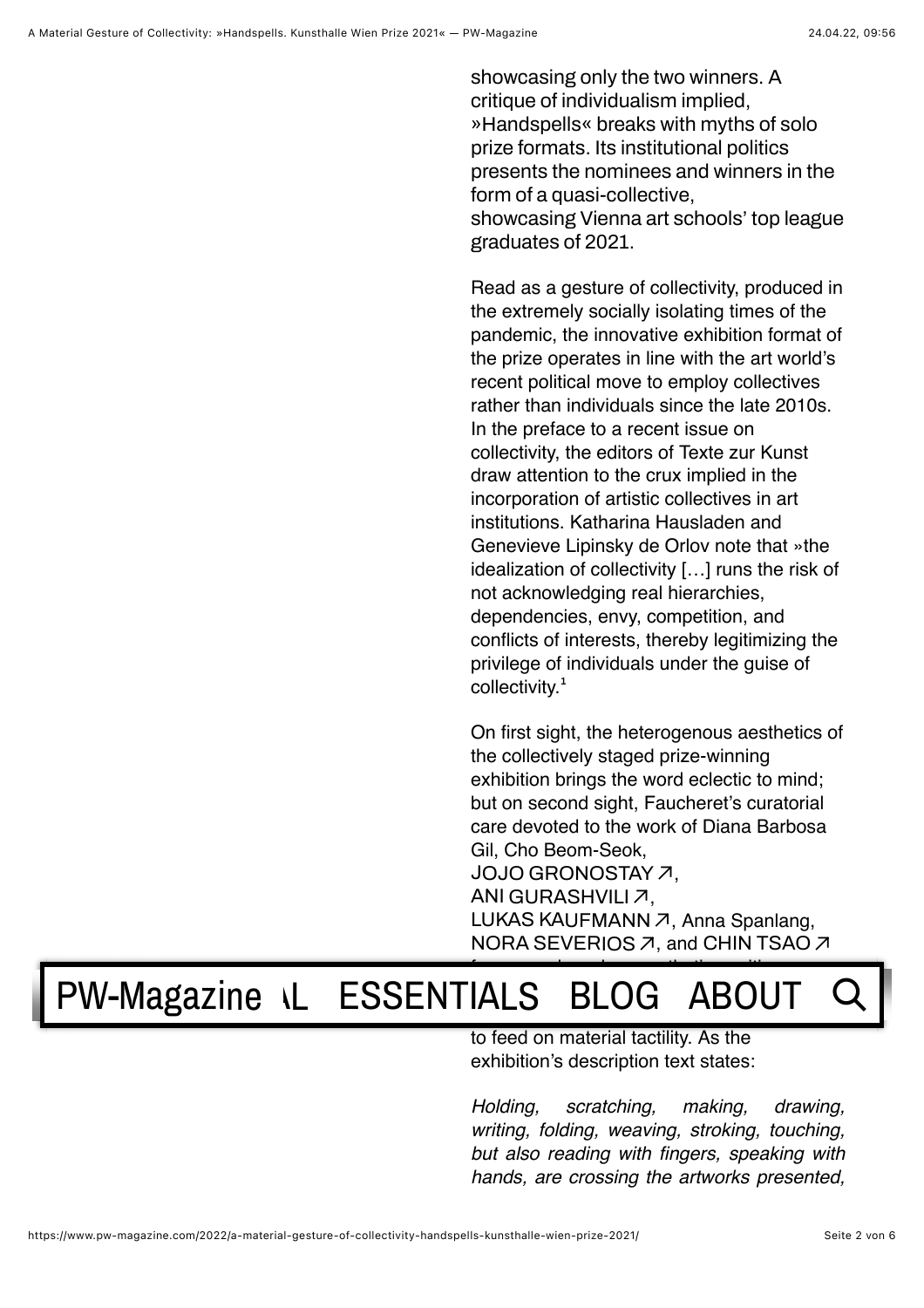**showcasing only the two winners. A critique of individualism implied, »Handspells« breaks with myths of solo prize formats. Its institutional politics presents the nominees and winners in the form of a quasi-collective, showcasing Vienna art schools' top league graduates of 2021.**

Read as a gesture of collectivity, produced in the extremely socially isolating times of the pandemic, the innovative exhibition format of the prize operates in line with the art world's recent political move to employ collectives rather than individuals since the late 2010s. In the preface to a recent issue on collectivity, the editors of Texte zur Kunst draw attention to the crux implied in the incorporation of artistic collectives in art institutions. Katharina Hausladen and Genevieve Lipinsky de Orlov note that »the idealization of collectivity […] runs the risk of not acknowledging real hierarchies, dependencies, envy, competition, and conflicts of interests, thereby legitimizing the privilege of individuals under the guise of collectivity.**¹**

On first sight, the heterogenous aesthetics of the collectively staged prize-winning exhibition brings the word eclectic to mind; but on second sight, Faucheret's curatorial care devoted to the work of Diana Barbosa Gil, Cho Beom-Seok, , **[JOJO GRONOSTAY](https://www.jojogronostay.com/)** ⬈ , **[ANI GURASHVILI](https://www.instagram.com/ani.gurashvili/)** ⬈ [LUKAS KAUFMANN](https://www.instagram.com/marilux_k/) *プ*, Anna Spanlang, **[NORA SEVERIOS](https://www.noraseverios.com/) ス, and [CHIN TSAO](https://chintsao.info/works/) ス** 

## foregrounds a clear aesthetic position. IAIS RIOG AROIIT [PW-Magazine](https://www.pw-magazine.com/) \L [ESSENTIALS](https://www.pw-magazine.com/essentials/) [BLOG](https://www.pw-magazine.com/blog/) [ABOUT](https://www.pw-magazine.com/about/) Q

to feed on material tactility. As the exhibition's description text states:

*Holding, scratching, making, drawing, writing, folding, weaving, stroking, touching, but also reading with fingers, speaking with hands, are crossing the artworks presented,*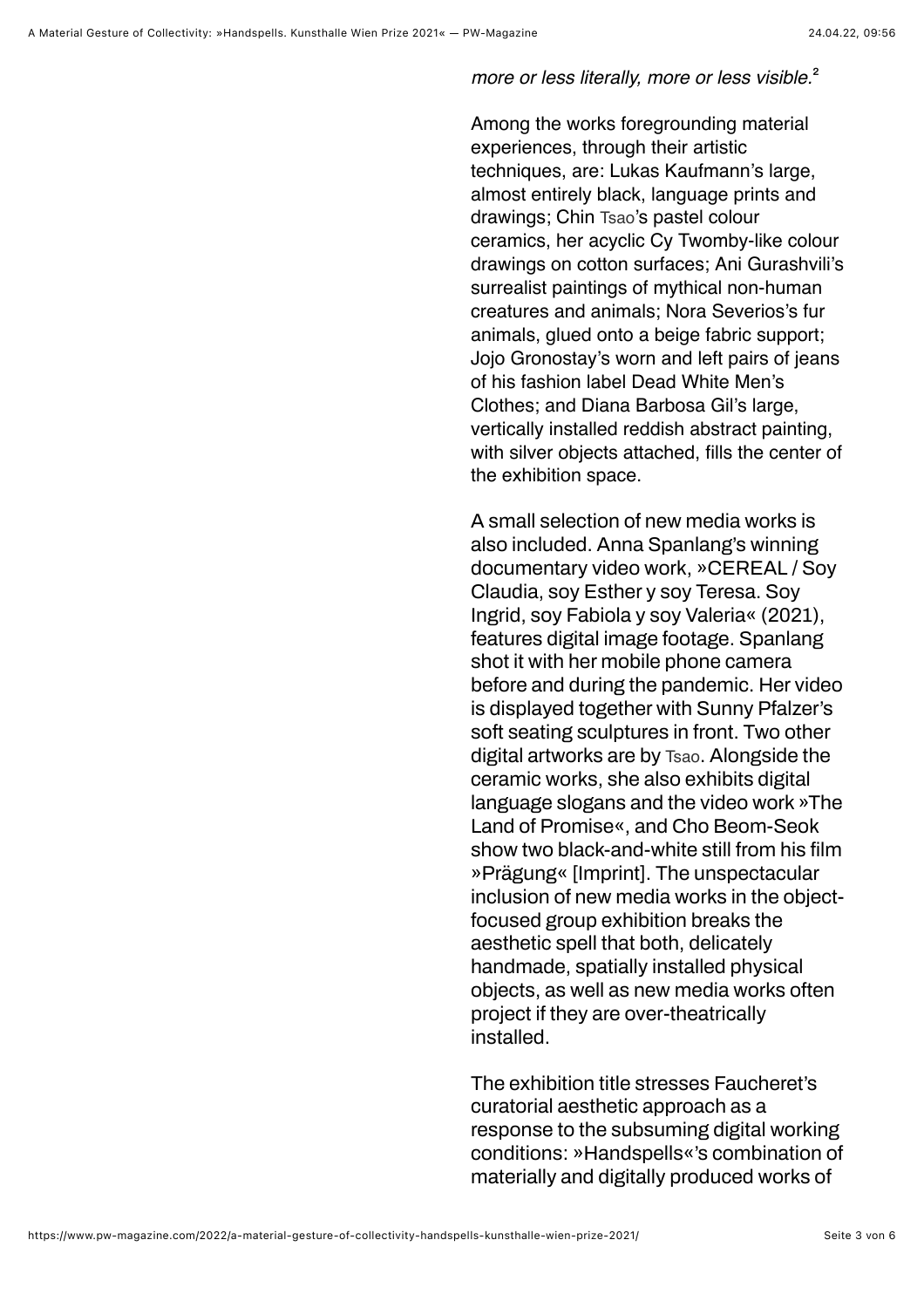*more or less literally, more or less visible.***²**

Among the works foregrounding material experiences, through their artistic techniques, are: Lukas Kaufmann's large, almost entirely black, language prints and drawings; Chin Tsao's pastel colour ceramics, her acyclic Cy Twomby-like colour drawings on cotton surfaces; Ani Gurashvili's surrealist paintings of mythical non-human creatures and animals; Nora Severios's fur animals, glued onto a beige fabric support; Jojo Gronostay's worn and left pairs of jeans of his fashion label Dead White Men's Clothes; and Diana Barbosa Gil's large, vertically installed reddish abstract painting, with silver objects attached, fills the center of the exhibition space.

**A small selection of new media works is also included. Anna Spanlang's winning documentary video work, »CEREAL / Soy Claudia, soy Esther y soy Teresa. Soy Ingrid, soy Fabiola y soy Valeria« (2021), features digital image footage. Spanlang shot it with her mobile phone camera before and during the pandemic. Her video is displayed together with Sunny Pfalzer's soft seating sculptures in front. Two other digital artworks are by** Tsao**. Alongside the ceramic works, she also exhibits digital language slogans and the video work »The Land of Promise«, and Cho Beom-Seok** show two black-and-white still from his film **»Prägung« [Imprint]. The unspectacular inclusion of new media works in the objectfocused group exhibition breaks the aesthetic spell that both, delicately handmade, spatially installed physical objects, as well as new media works often project if they are over-theatrically installed.**

**The exhibition title stresses Faucheret's curatorial aesthetic approach as a response to the subsuming digital working conditions: »Handspells«'s combination of materially and digitally produced works of**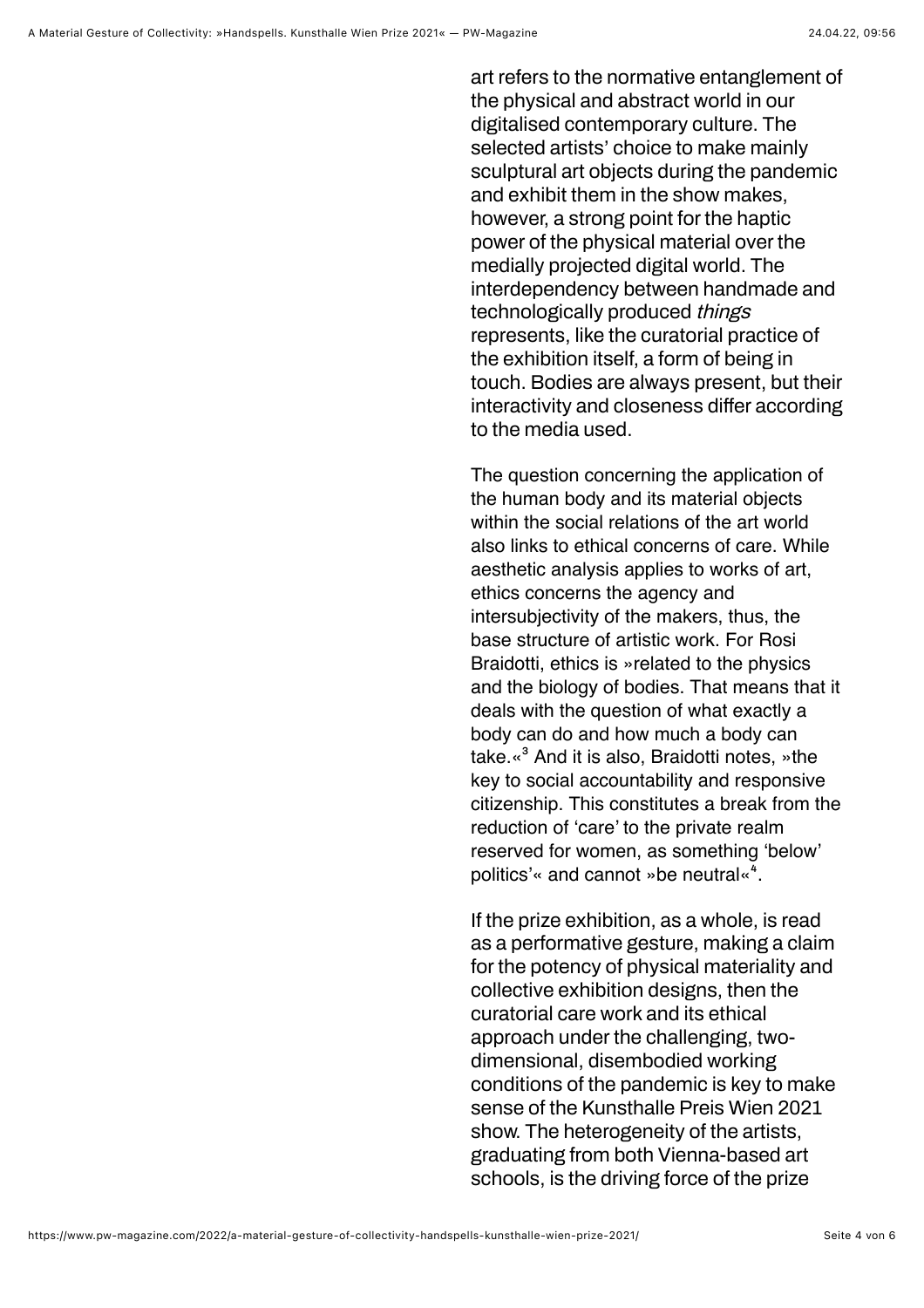**art refers to the normative entanglement of the physical and abstract world in our digitalised contemporary culture. The selected artists' choice to make mainly sculptural art objects during the pandemic and exhibit them in the show makes, however, a strong point for the haptic power of the physical material over the medially projected digital world. The interdependency between handmade and technologically produced things represents, like the curatorial practice of the exhibition itself, a form of being in touch. Bodies are always present, but their interactivity and closeness differ according to the media used.** 

The question concerning the application of the human body and its material objects within the social relations of the art world also links to ethical concerns of care. While aesthetic analysis applies to works of art, ethics concerns the agency and intersubjectivity of the makers, thus, the base structure of artistic work. For Rosi Braidotti, ethics is »related to the physics and the biology of bodies. That means that it deals with the question of what exactly a body can do and how much a body can take.«**³** And it is also, Braidotti notes, »the key to social accountability and responsive citizenship. This constitutes a break from the reduction of 'care' to the private realm reserved for women, as something 'below' politics'« and cannot »be neutral«<sup>4</sup>.

**If the prize exhibition, as a whole, is read as a performative gesture, making a claim for the potency of physical materiality and collective exhibition designs, then the curatorial care work and its ethical approach under the challenging, twodimensional, disembodied working conditions of the pandemic is key to make sense of the Kunsthalle Preis Wien 2021 show. The heterogeneity of the artists, graduating from both Vienna-based art schools, is the driving force of the prize**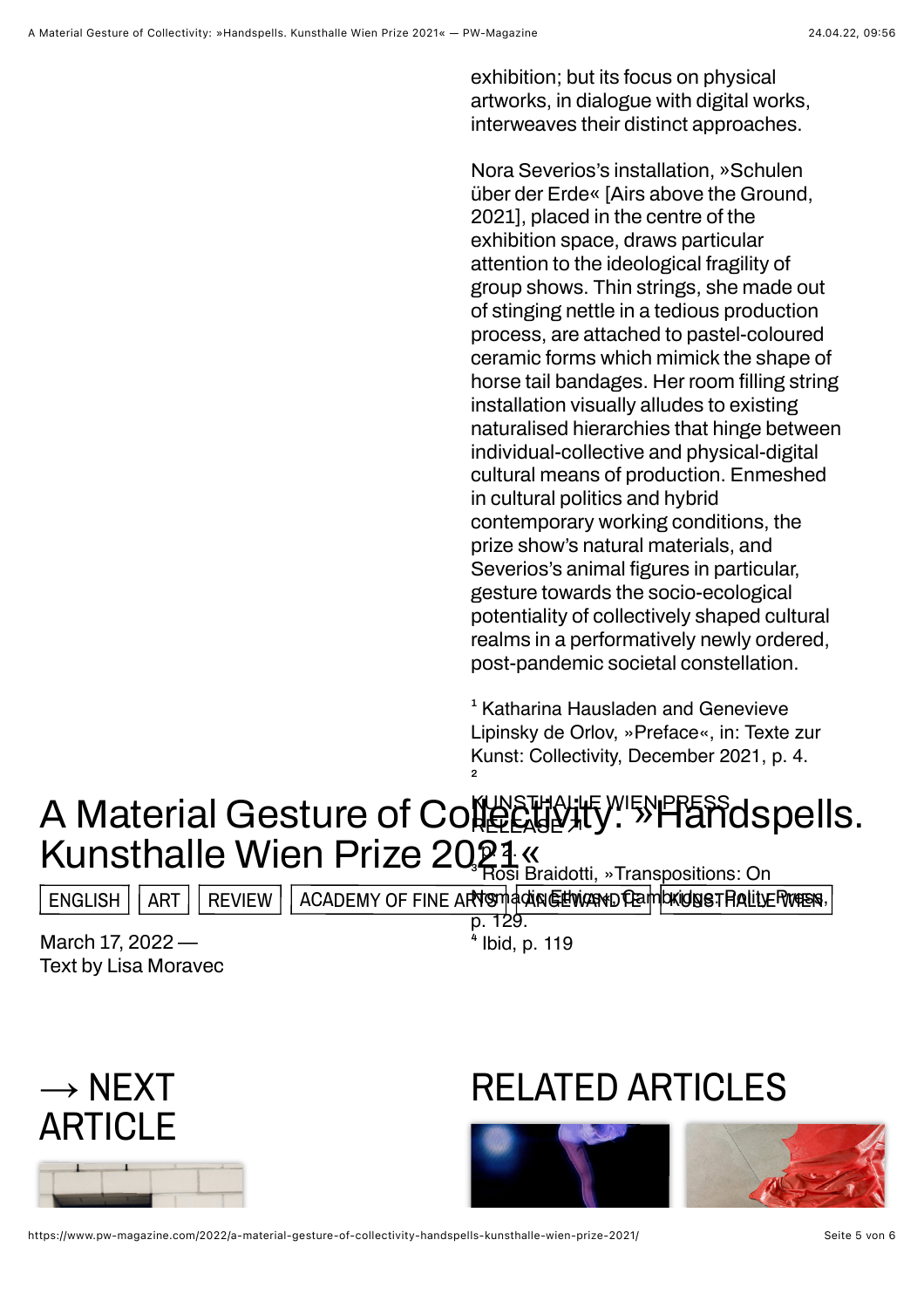**exhibition; but its focus on physical artworks, in dialogue with digital works, interweaves their distinct approaches.**

**Nora Severios's installation, »Schulen über der Erde« [Airs above the Ground, 2021], placed in the centre of the exhibition space, draws particular attention to the ideological fragility of group shows. Thin strings, she made out of stinging nettle in a tedious production process, are attached to pastel-coloured ceramic forms which mimick the shape of** horse tail bandages. Her room filling string **installation visually alludes to existing naturalised hierarchies that hinge between individual-collective and physical-digital cultural means of production. Enmeshed in cultural politics and hybrid contemporary working conditions, the prize show's natural materials, and** Severios's animal figures in particular, **gesture towards the socio-ecological potentiality of collectively shaped cultural realms in a performatively newly ordered, post-pandemic societal constellation.**

**¹** Katharina Hausladen and Genevieve Lipinsky de Orlov, »Preface«, in: Texte zur Kunst: Collectivity, December 2021, p. 4. **²** 

## A Material Gesture of Co尴尬慨<sup>, wien</sup>PPESSdspells. Kunsthalle Wien Prize 2021 « **RELEASE** ⬈

**³** Rosi Braidotti, »Transpositions: On

[ENGLISH](https://www.pw-magazine.com/tag/english/) | [ART](https://www.pw-magazine.com/tag/art/) | [REVIEW](https://www.pw-magazine.com/tag/review/) | [ACADEMY OF FINE ARTS](https://www.pw-magazine.com/tag/academy-of-fine-arts/) MAGENGER TRANGURIST FRALLY ERGERS,

**March 17, 2022 — Text by Lisa Moravec** p. 129. **⁴** Ibid, p. 119



## RELATED ARTICLES